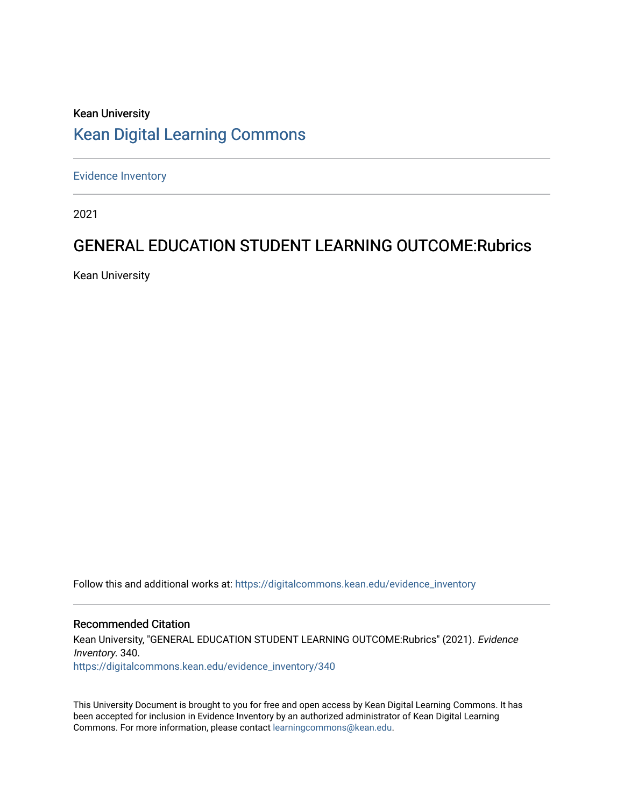# Kean University [Kean Digital Learning Commons](https://digitalcommons.kean.edu/)

[Evidence Inventory](https://digitalcommons.kean.edu/evidence_inventory) 

2021

# GENERAL EDUCATION STUDENT LEARNING OUTCOME:Rubrics

Kean University

Follow this and additional works at: [https://digitalcommons.kean.edu/evidence\\_inventory](https://digitalcommons.kean.edu/evidence_inventory?utm_source=digitalcommons.kean.edu%2Fevidence_inventory%2F340&utm_medium=PDF&utm_campaign=PDFCoverPages)

#### Recommended Citation

Kean University, "GENERAL EDUCATION STUDENT LEARNING OUTCOME:Rubrics" (2021). Evidence Inventory. 340. [https://digitalcommons.kean.edu/evidence\\_inventory/340](https://digitalcommons.kean.edu/evidence_inventory/340?utm_source=digitalcommons.kean.edu%2Fevidence_inventory%2F340&utm_medium=PDF&utm_campaign=PDFCoverPages)

This University Document is brought to you for free and open access by Kean Digital Learning Commons. It has been accepted for inclusion in Evidence Inventory by an authorized administrator of Kean Digital Learning Commons. For more information, please contact [learningcommons@kean.edu.](mailto:learningcommons@kean.edu)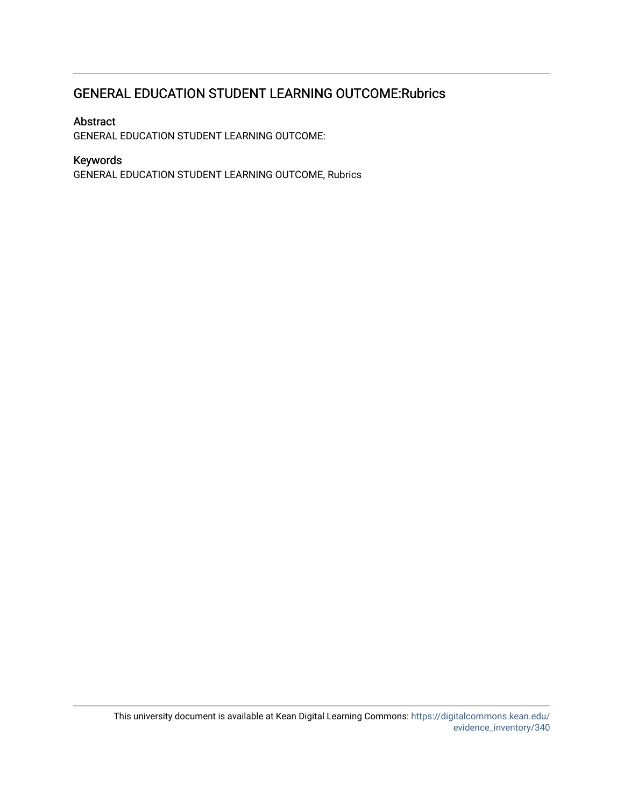## GENERAL EDUCATION STUDENT LEARNING OUTCOME:Rubrics

### Abstract

GENERAL EDUCATION STUDENT LEARNING OUTCOME:

### Keywords

GENERAL EDUCATION STUDENT LEARNING OUTCOME, Rubrics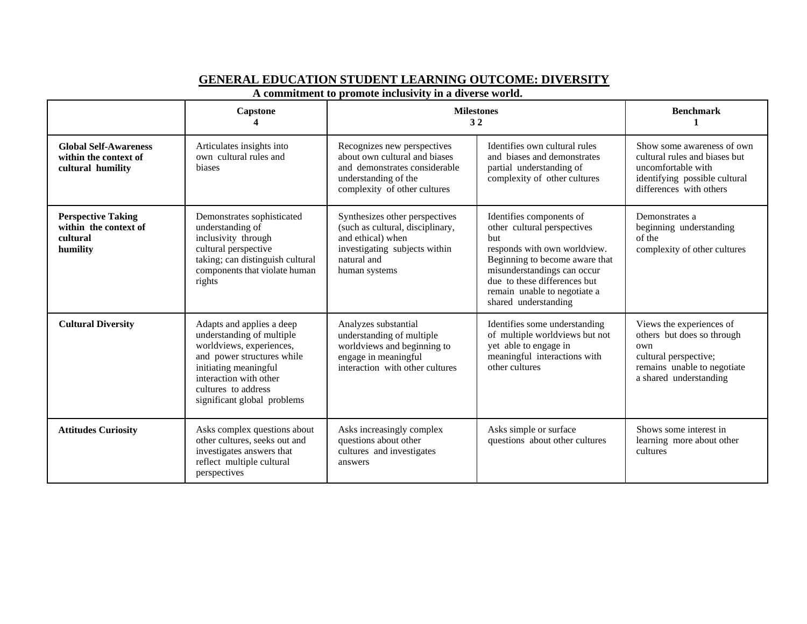|                                                                            | Capstone                                                                                                                                                                                                                  | <b>Milestones</b><br>32                                                                                                                                  |                                                                                                                                                                                                                                                         | <b>Benchmark</b>                                                                                                                                |
|----------------------------------------------------------------------------|---------------------------------------------------------------------------------------------------------------------------------------------------------------------------------------------------------------------------|----------------------------------------------------------------------------------------------------------------------------------------------------------|---------------------------------------------------------------------------------------------------------------------------------------------------------------------------------------------------------------------------------------------------------|-------------------------------------------------------------------------------------------------------------------------------------------------|
| <b>Global Self-Awareness</b><br>within the context of<br>cultural humility | Articulates insights into<br>own cultural rules and<br>hiases                                                                                                                                                             | Recognizes new perspectives<br>about own cultural and biases<br>and demonstrates considerable<br>understanding of the<br>complexity of other cultures    | Identifies own cultural rules<br>and biases and demonstrates<br>partial understanding of<br>complexity of other cultures                                                                                                                                | Show some awareness of own<br>cultural rules and biases but<br>uncomfortable with<br>identifying possible cultural<br>differences with others   |
| <b>Perspective Taking</b><br>within the context of<br>cultural<br>humility | Demonstrates sophisticated<br>understanding of<br>inclusivity through<br>cultural perspective<br>taking; can distinguish cultural<br>components that violate human<br>rights                                              | Synthesizes other perspectives<br>(such as cultural, disciplinary,<br>and ethical) when<br>investigating subjects within<br>natural and<br>human systems | Identifies components of<br>other cultural perspectives<br>but<br>responds with own worldview.<br>Beginning to become aware that<br>misunderstandings can occur<br>due to these differences but<br>remain unable to negotiate a<br>shared understanding | Demonstrates a<br>beginning understanding<br>of the<br>complexity of other cultures                                                             |
| <b>Cultural Diversity</b>                                                  | Adapts and applies a deep<br>understanding of multiple<br>worldviews, experiences,<br>and power structures while<br>initiating meaningful<br>interaction with other<br>cultures to address<br>significant global problems | Analyzes substantial<br>understanding of multiple<br>worldviews and beginning to<br>engage in meaningful<br>interaction with other cultures              | Identifies some understanding<br>of multiple worldviews but not<br>yet able to engage in<br>meaningful interactions with<br>other cultures                                                                                                              | Views the experiences of<br>others but does so through<br>own<br>cultural perspective;<br>remains unable to negotiate<br>a shared understanding |
| <b>Attitudes Curiosity</b>                                                 | Asks complex questions about<br>other cultures, seeks out and<br>investigates answers that<br>reflect multiple cultural<br>perspectives                                                                                   | Asks increasingly complex<br>questions about other<br>cultures and investigates<br>answers                                                               | Asks simple or surface<br>questions about other cultures                                                                                                                                                                                                | Shows some interest in<br>learning more about other<br>cultures                                                                                 |

## **GENERAL EDUCATION STUDENT LEARNING OUTCOME: DIVERSITY**

**A commitment to promote inclusivity in a diverse world.**